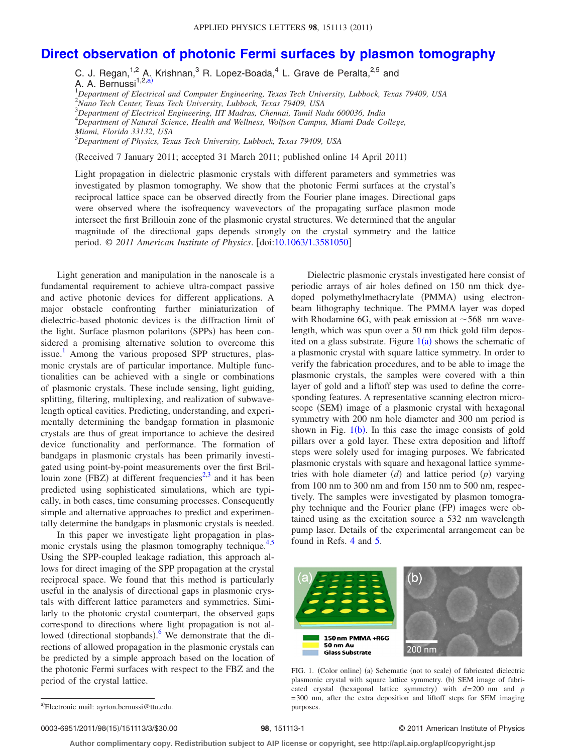## **[Direct observation of photonic Fermi surfaces by plasmon tomography](http://dx.doi.org/10.1063/1.3581050)**

C. J. Regan,  $^{1,2}$  A. Krishnan,  $^3$  R. Lopez-Boada,  $^4$  L. Grave de Peralta,  $^{2,5}$  and A. A. Bernussi<sup>1,2[,a](#page-0-0))</sup> *Department of Electrical and Computer Engineering, Texas Tech University, Lubbock, Texas 79409, USA Nano Tech Center, Texas Tech University, Lubbock, Texas 79409, USA Department of Electrical Engineering, IIT Madras, Chennai, Tamil Nadu 600036, India Department of Natural Science, Health and Wellness, Wolfson Campus, Miami Dade College, Miami, Florida 33132, USA Department of Physics, Texas Tech University, Lubbock, Texas 79409, USA*

(Received 7 January 2011; accepted 31 March 2011; published online 14 April 2011)

Light propagation in dielectric plasmonic crystals with different parameters and symmetries was investigated by plasmon tomography. We show that the photonic Fermi surfaces at the crystal's reciprocal lattice space can be observed directly from the Fourier plane images. Directional gaps were observed where the isofrequency wavevectors of the propagating surface plasmon mode intersect the first Brillouin zone of the plasmonic crystal structures. We determined that the angular magnitude of the directional gaps depends strongly on the crystal symmetry and the lattice period. © *2011 American Institute of Physics*. doi[:10.1063/1.3581050](http://dx.doi.org/10.1063/1.3581050)

Light generation and manipulation in the nanoscale is a fundamental requirement to achieve ultra-compact passive and active photonic devices for different applications. A major obstacle confronting further miniaturization of dielectric-based photonic devices is the diffraction limit of the light. Surface plasmon polaritons (SPPs) has been considered a promising alternative solution to overcome this issue.<sup>1</sup> Among the various proposed SPP structures, plasmonic crystals are of particular importance. Multiple functionalities can be achieved with a single or combinations of plasmonic crystals. These include sensing, light guiding, splitting, filtering, multiplexing, and realization of subwavelength optical cavities. Predicting, understanding, and experimentally determining the bandgap formation in plasmonic crystals are thus of great importance to achieve the desired device functionality and performance. The formation of bandgaps in plasmonic crystals has been primarily investigated using point-by-point measurements over the first Bril-louin zone (FBZ) at different frequencies<sup>2[,3](#page-2-2)</sup> and it has been predicted using sophisticated simulations, which are typically, in both cases, time consuming processes. Consequently simple and alternative approaches to predict and experimentally determine the bandgaps in plasmonic crystals is needed.

In this paper we investigate light propagation in plas-monic crystals using the plasmon tomography technique.<sup>4[,5](#page-2-4)</sup> Using the SPP-coupled leakage radiation, this approach allows for direct imaging of the SPP propagation at the crystal reciprocal space. We found that this method is particularly useful in the analysis of directional gaps in plasmonic crystals with different lattice parameters and symmetries. Similarly to the photonic crystal counterpart, the observed gaps correspond to directions where light propagation is not al-lowed (directional stopbands).<sup>[6](#page-2-5)</sup> We demonstrate that the directions of allowed propagation in the plasmonic crystals can be predicted by a simple approach based on the location of the photonic Fermi surfaces with respect to the FBZ and the period of the crystal lattice.

Dielectric plasmonic crystals investigated here consist of periodic arrays of air holes defined on 150 nm thick dyedoped polymethylmethacrylate (PMMA) using electronbeam lithography technique. The PMMA layer was doped with Rhodamine 6G, with peak emission at  $\sim$  568 nm wavelength, which was spun over a 50 nm thick gold film deposited on a glass substrate. Figure  $1(a)$  $1(a)$  shows the schematic of a plasmonic crystal with square lattice symmetry. In order to verify the fabrication procedures, and to be able to image the plasmonic crystals, the samples were covered with a thin layer of gold and a liftoff step was used to define the corresponding features. A representative scanning electron microscope (SEM) image of a plasmonic crystal with hexagonal symmetry with 200 nm hole diameter and 300 nm period is shown in Fig.  $1(b)$  $1(b)$ . In this case the image consists of gold pillars over a gold layer. These extra deposition and liftoff steps were solely used for imaging purposes. We fabricated plasmonic crystals with square and hexagonal lattice symmetries with hole diameter  $(d)$  and lattice period  $(p)$  varying from 100 nm to 300 nm and from 150 nm to 500 nm, respectively. The samples were investigated by plasmon tomography technique and the Fourier plane (FP) images were obtained using as the excitation source a 532 nm wavelength pump laser. Details of the experimental arrangement can be found in Refs. [4](#page-2-3) and [5.](#page-2-4)

<span id="page-0-1"></span>

FIG. 1. (Color online) (a) Schematic (not to scale) of fabricated dielectric plasmonic crystal with square lattice symmetry. (b) SEM image of fabricated crystal (hexagonal lattice symmetry) with  $d=200$  nm and  $p$ =300 nm, after the extra deposition and liftoff steps for SEM imaging purposes.

0003-6951/2011/98(15)/151113/3/\$30.00

## 98, 151113-1 **30.000 COLLET SERVICE OP 2011** American Institute of Physics

**Author complimentary copy. Redistribution subject to AIP license or copyright, see http://apl.aip.org/apl/copyright.jsp**

<span id="page-0-0"></span>a)Electronic mail: ayrton.bernussi@ttu.edu.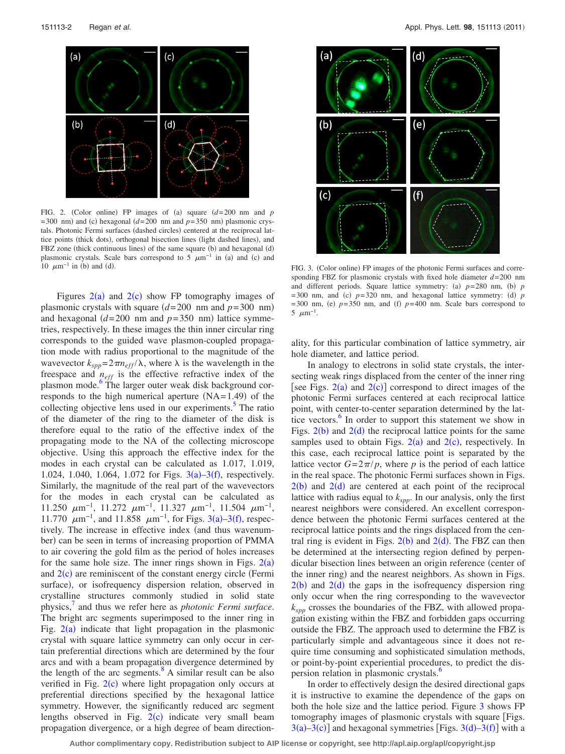<span id="page-1-0"></span>

FIG. 2. (Color online) FP images of (a) square  $(d=200 \text{ nm and } p)$  $=$  300 nm) and (c) hexagonal ( $d=$  200 nm and  $p=$  350 nm) plasmonic crystals. Photonic Fermi surfaces (dashed circles) centered at the reciprocal lattice points (thick dots), orthogonal bisection lines (light dashed lines), and FBZ zone (thick continuous lines) of the same square (b) and hexagonal (d) plasmonic crystals. Scale bars correspond to 5  $\mu$ m<sup>-1</sup> in (a) and (c) and 10  $\mu$ m<sup>-1</sup> in (b) and (

Figures  $2(a)$  $2(a)$  and  $2(c)$  show FP tomography images of plasmonic crystals with square  $(d=200 \text{ nm and } p=300 \text{ nm})$ and hexagonal  $(d=200 \text{ nm}$  and  $p=350 \text{ nm}$ ) lattice symmetries, respectively. In these images the thin inner circular ring corresponds to the guided wave plasmon-coupled propagation mode with radius proportional to the magnitude of the wavevector  $k_{spp} = 2\pi n_{eff} / \lambda$ , where  $\lambda$  is the wavelength in the freespace and  $n_{eff}$  is the effective refractive index of the plasmon mode.<sup>6</sup> The larger outer weak disk background corresponds to the high numerical aperture  $(NA=1.49)$  of the collecting objective lens used in our experiments. $5$  The ratio of the diameter of the ring to the diameter of the disk is therefore equal to the ratio of the effective index of the propagating mode to the NA of the collecting microscope objective. Using this approach the effective index for the modes in each crystal can be calculated as 1.017, 1.019, 1.024, 1.040, 1.064, 1.072 for Figs.  $3(a) - 3(f)$  $3(a) - 3(f)$ , respectively. Similarly, the magnitude of the real part of the wavevectors for the modes in each crystal can be calculated as 11.250  $\mu$ m<sup>-1</sup>, 11.272  $\mu$ m<sup>-1</sup>, 11.327  $\mu$ m<sup>-1</sup>, 11.504  $\mu$ m<sup>-1</sup>, 11.770  $\mu$ m<sup>-1</sup>, and 11.858  $\mu$ m<sup>-1</sup>, for Figs. [3](#page-1-1)(a)-3(f), respectively. The increase in effective index (and thus wavenumber) can be seen in terms of increasing proportion of PMMA to air covering the gold film as the period of holes increases for the same hole size. The inner rings shown in Figs.  $2(a)$  $2(a)$ and  $2(c)$  $2(c)$  are reminiscent of the constant energy circle (Fermi surface), or isofrequency dispersion relation, observed in crystalline structures commonly studied in solid state physics[,7](#page-2-6) and thus we refer here as *photonic Fermi surface*. The bright arc segments superimposed to the inner ring in Fig.  $2(a)$  $2(a)$  indicate that light propagation in the plasmonic crystal with square lattice symmetry can only occur in certain preferential directions which are determined by the four arcs and with a beam propagation divergence determined by the length of the arc segments. $8 \text{ A similar result}$  can be also verified in Fig.  $2(c)$  $2(c)$  where light propagation only occurs at preferential directions specified by the hexagonal lattice symmetry. However, the significantly reduced arc segment lengths observed in Fig.  $2(c)$  $2(c)$  indicate very small beam propagation divergence, or a high degree of beam direction-

<span id="page-1-1"></span>

d). FIG. 3. (Color online) FP images of the photonic Fermi surfaces and corresponding FBZ for plasmonic crystals with fixed hole diameter *d*=200 nm and different periods. Square lattice symmetry: (a)  $p=280$  nm, (b)  $p$  $=$  300 nm, and (c)  $p=$  320 nm, and hexagonal lattice symmetry: (d)  $p$  $=$  300 nm, (e)  $p=350$  nm, and (f)  $p=400$  nm. Scale bars correspond to  $5 \mu m^{-1}$ .

ality, for this particular combination of lattice symmetry, air hole diameter, and lattice period.

In analogy to electrons in solid state crystals, the intersecting weak rings displaced from the center of the inner ring [see Figs.  $2(a)$  $2(a)$  and  $2(c)$ ] correspond to direct images of the photonic Fermi surfaces centered at each reciprocal lattice point, with center-to-center separation determined by the lattice vectors.<sup>6</sup> In order to support this statement we show in Figs.  $2(b)$  $2(b)$  and  $2(d)$  the reciprocal lattice points for the same samples used to obtain Figs.  $2(a)$  $2(a)$  and  $2(c)$ , respectively. In this case, each reciprocal lattice point is separated by the lattice vector  $G = 2\pi/p$ , where *p* is the period of each lattice in the real space. The photonic Fermi surfaces shown in Figs.  $2(b)$  $2(b)$  and  $2(d)$  are centered at each point of the reciprocal lattice with radius equal to  $k_{spp}$ . In our analysis, only the first nearest neighbors were considered. An excellent correspondence between the photonic Fermi surfaces centered at the reciprocal lattice points and the rings displaced from the central ring is evident in Figs.  $2(b)$  $2(b)$  and  $2(d)$ . The FBZ can then be determined at the intersecting region defined by perpendicular bisection lines between an origin reference (center of the inner ring) and the nearest neighbors. As shown in Figs.  $2(b)$  $2(b)$  and  $2(d)$  the gaps in the isofrequency dispersion ring only occur when the ring corresponding to the wavevector *kspp* crosses the boundaries of the FBZ, with allowed propagation existing within the FBZ and forbidden gaps occurring outside the FBZ. The approach used to determine the FBZ is particularly simple and advantageous since it does not require time consuming and sophisticated simulation methods, or point-by-point experiential procedures, to predict the dispersion relation in plasmonic crystals.<sup>6</sup>

In order to effectively design the desired directional gaps it is instructive to examine the dependence of the gaps on both the hole size and the lattice period. Figure [3](#page-1-1) shows FP tomography images of plasmonic crystals with square [Figs.  $3(a) - 3(c)$  $3(a) - 3(c)$ ] and hexagonal symmetries [Figs.  $3(d) - 3(f)$ ] with a

**Author complimentary copy. Redistribution subject to AIP license or copyright, see http://apl.aip.org/apl/copyright.jsp**